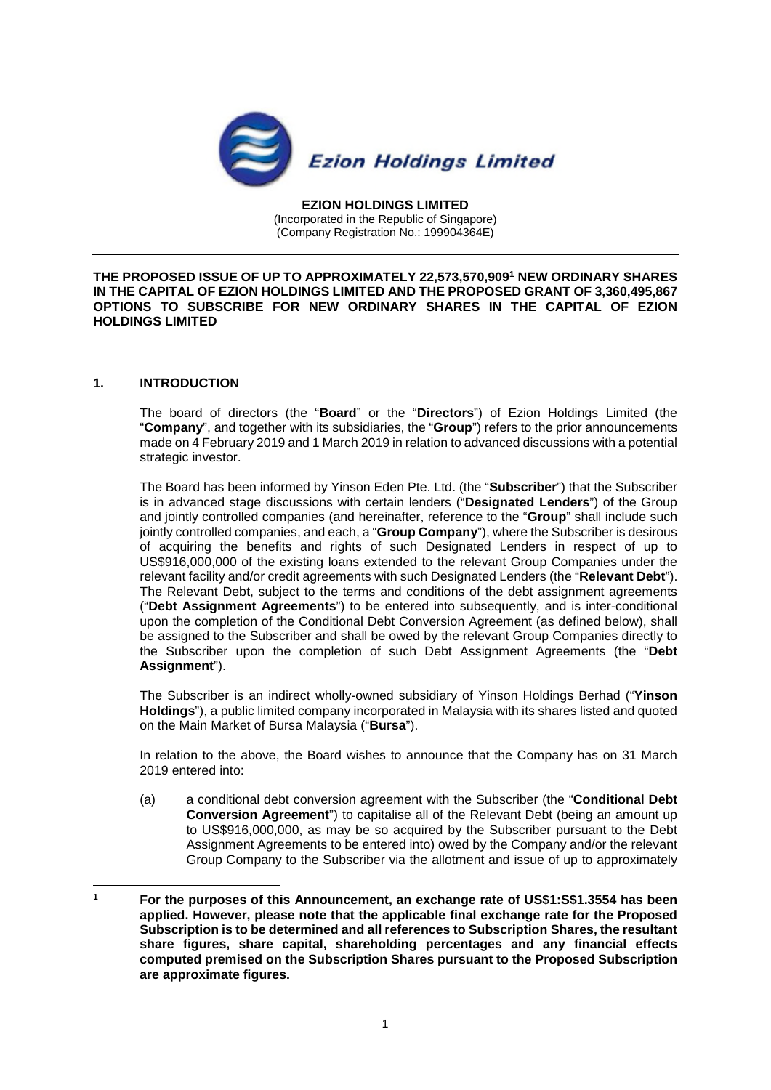

**EZION HOLDINGS LIMITED**  (Incorporated in the Republic of Singapore) (Company Registration No.: 199904364E)

**THE PROPOSED ISSUE OF UP TO APPROXIMATELY 22,573,570,909<sup>1</sup> NEW ORDINARY SHARES IN THE CAPITAL OF EZION HOLDINGS LIMITED AND THE PROPOSED GRANT OF 3,360,495,867 OPTIONS TO SUBSCRIBE FOR NEW ORDINARY SHARES IN THE CAPITAL OF EZION HOLDINGS LIMITED** 

# **1. INTRODUCTION**

The board of directors (the "**Board**" or the "**Directors**") of Ezion Holdings Limited (the "**Company**", and together with its subsidiaries, the "**Group**") refers to the prior announcements made on 4 February 2019 and 1 March 2019 in relation to advanced discussions with a potential strategic investor.

The Board has been informed by Yinson Eden Pte. Ltd. (the "**Subscriber**") that the Subscriber is in advanced stage discussions with certain lenders ("**Designated Lenders**") of the Group and jointly controlled companies (and hereinafter, reference to the "**Group**" shall include such jointly controlled companies, and each, a "**Group Company**"), where the Subscriber is desirous of acquiring the benefits and rights of such Designated Lenders in respect of up to US\$916,000,000 of the existing loans extended to the relevant Group Companies under the relevant facility and/or credit agreements with such Designated Lenders (the "**Relevant Debt**"). The Relevant Debt, subject to the terms and conditions of the debt assignment agreements ("**Debt Assignment Agreements**") to be entered into subsequently, and is inter-conditional upon the completion of the Conditional Debt Conversion Agreement (as defined below), shall be assigned to the Subscriber and shall be owed by the relevant Group Companies directly to the Subscriber upon the completion of such Debt Assignment Agreements (the "**Debt Assignment**").

The Subscriber is an indirect wholly-owned subsidiary of Yinson Holdings Berhad ("**Yinson Holdings**"), a public limited company incorporated in Malaysia with its shares listed and quoted on the Main Market of Bursa Malaysia ("**Bursa**").

In relation to the above, the Board wishes to announce that the Company has on 31 March 2019 entered into:

(a) a conditional debt conversion agreement with the Subscriber (the "**Conditional Debt Conversion Agreement**") to capitalise all of the Relevant Debt (being an amount up to US\$916,000,000, as may be so acquired by the Subscriber pursuant to the Debt Assignment Agreements to be entered into) owed by the Company and/or the relevant Group Company to the Subscriber via the allotment and issue of up to approximately

**<sup>1</sup> For the purposes of this Announcement, an exchange rate of US\$1:S\$1.3554 has been applied. However, please note that the applicable final exchange rate for the Proposed Subscription is to be determined and all references to Subscription Shares, the resultant share figures, share capital, shareholding percentages and any financial effects computed premised on the Subscription Shares pursuant to the Proposed Subscription are approximate figures.**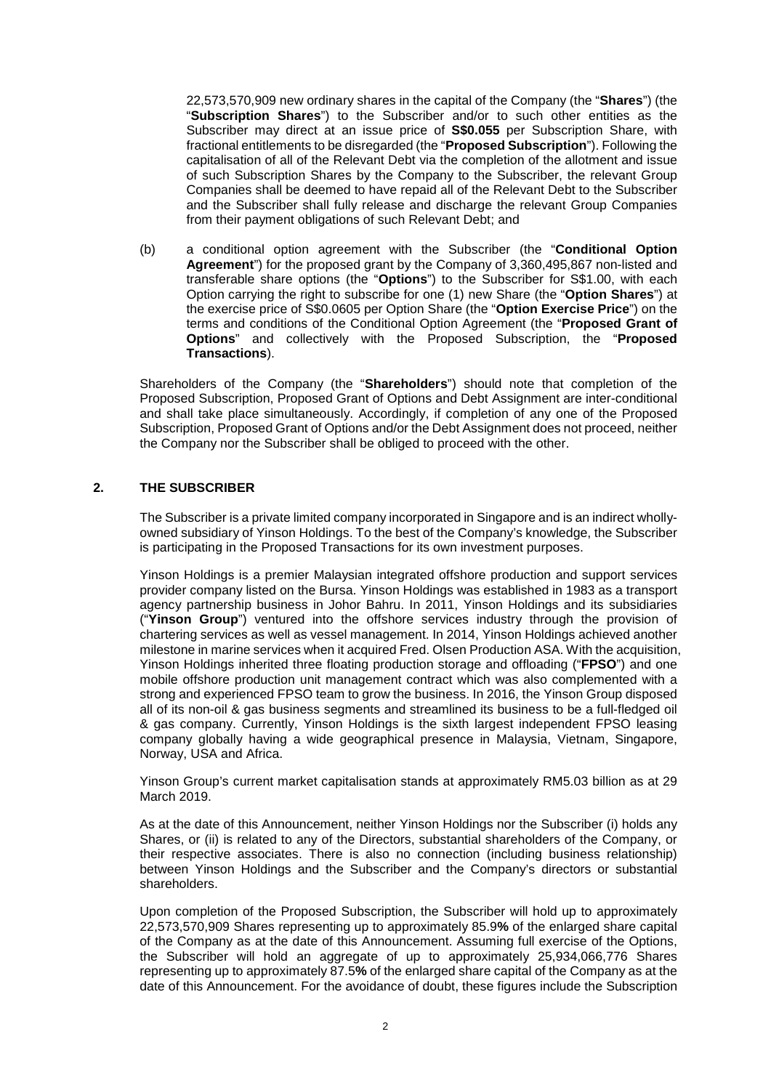22,573,570,909 new ordinary shares in the capital of the Company (the "**Shares**") (the "**Subscription Shares**") to the Subscriber and/or to such other entities as the Subscriber may direct at an issue price of **S\$0.055** per Subscription Share, with fractional entitlements to be disregarded (the "**Proposed Subscription**"). Following the capitalisation of all of the Relevant Debt via the completion of the allotment and issue of such Subscription Shares by the Company to the Subscriber, the relevant Group Companies shall be deemed to have repaid all of the Relevant Debt to the Subscriber and the Subscriber shall fully release and discharge the relevant Group Companies from their payment obligations of such Relevant Debt; and

(b) a conditional option agreement with the Subscriber (the "**Conditional Option Agreement**") for the proposed grant by the Company of 3,360,495,867 non-listed and transferable share options (the "**Options**") to the Subscriber for S\$1.00, with each Option carrying the right to subscribe for one (1) new Share (the "**Option Shares**") at the exercise price of S\$0.0605 per Option Share (the "**Option Exercise Price**") on the terms and conditions of the Conditional Option Agreement (the "**Proposed Grant of Options**" and collectively with the Proposed Subscription, the "**Proposed Transactions**).

Shareholders of the Company (the "**Shareholders**") should note that completion of the Proposed Subscription, Proposed Grant of Options and Debt Assignment are inter-conditional and shall take place simultaneously. Accordingly, if completion of any one of the Proposed Subscription, Proposed Grant of Options and/or the Debt Assignment does not proceed, neither the Company nor the Subscriber shall be obliged to proceed with the other.

# **2. THE SUBSCRIBER**

The Subscriber is a private limited company incorporated in Singapore and is an indirect whollyowned subsidiary of Yinson Holdings. To the best of the Company's knowledge, the Subscriber is participating in the Proposed Transactions for its own investment purposes.

Yinson Holdings is a premier Malaysian integrated offshore production and support services provider company listed on the Bursa. Yinson Holdings was established in 1983 as a transport agency partnership business in Johor Bahru. In 2011, Yinson Holdings and its subsidiaries ("**Yinson Group**") ventured into the offshore services industry through the provision of chartering services as well as vessel management. In 2014, Yinson Holdings achieved another milestone in marine services when it acquired Fred. Olsen Production ASA. With the acquisition, Yinson Holdings inherited three floating production storage and offloading ("**FPSO**") and one mobile offshore production unit management contract which was also complemented with a strong and experienced FPSO team to grow the business. In 2016, the Yinson Group disposed all of its non-oil & gas business segments and streamlined its business to be a full-fledged oil & gas company. Currently, Yinson Holdings is the sixth largest independent FPSO leasing company globally having a wide geographical presence in Malaysia, Vietnam, Singapore, Norway, USA and Africa.

Yinson Group's current market capitalisation stands at approximately RM5.03 billion as at 29 March 2019.

As at the date of this Announcement, neither Yinson Holdings nor the Subscriber (i) holds any Shares, or (ii) is related to any of the Directors, substantial shareholders of the Company, or their respective associates. There is also no connection (including business relationship) between Yinson Holdings and the Subscriber and the Company's directors or substantial shareholders.

Upon completion of the Proposed Subscription, the Subscriber will hold up to approximately 22,573,570,909 Shares representing up to approximately 85.9**%** of the enlarged share capital of the Company as at the date of this Announcement. Assuming full exercise of the Options, the Subscriber will hold an aggregate of up to approximately 25,934,066,776 Shares representing up to approximately 87.5**%** of the enlarged share capital of the Company as at the date of this Announcement. For the avoidance of doubt, these figures include the Subscription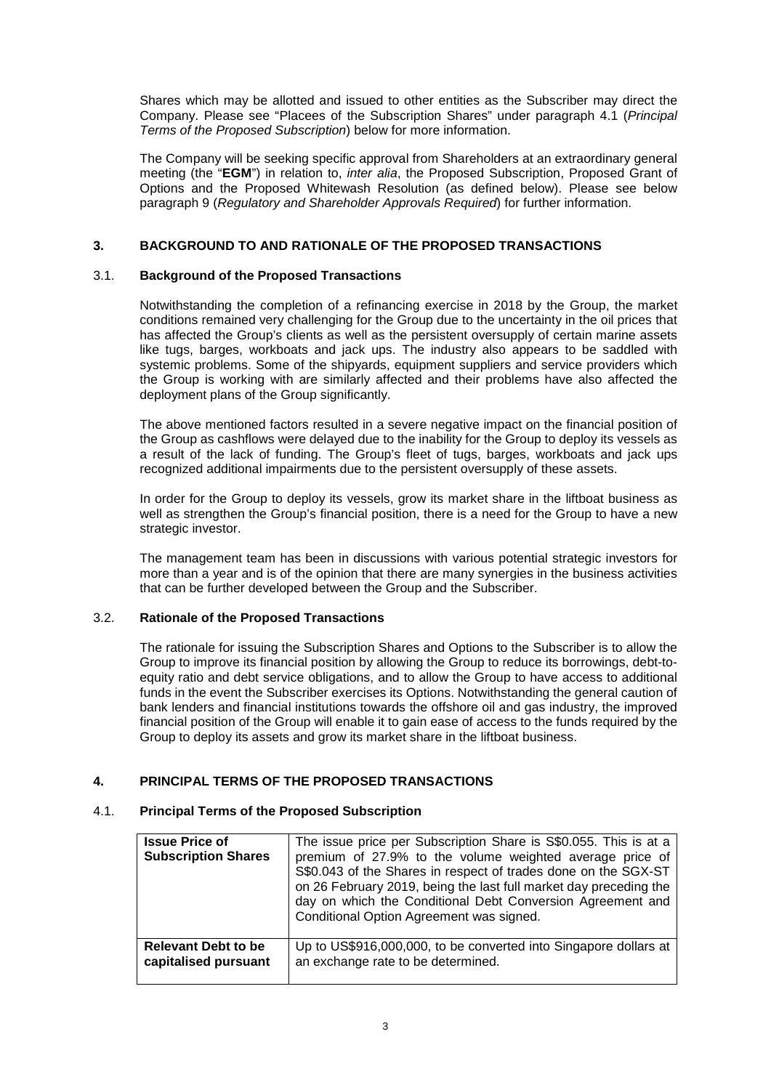Shares which may be allotted and issued to other entities as the Subscriber may direct the Company. Please see "Placees of the Subscription Shares" under paragraph 4.1 (*Principal Terms of the Proposed Subscription*) below for more information.

The Company will be seeking specific approval from Shareholders at an extraordinary general meeting (the "**EGM**") in relation to, *inter alia*, the Proposed Subscription, Proposed Grant of Options and the Proposed Whitewash Resolution (as defined below). Please see below paragraph 9 (*Regulatory and Shareholder Approvals Required*) for further information.

# **3. BACKGROUND TO AND RATIONALE OF THE PROPOSED TRANSACTIONS**

# 3.1. **Background of the Proposed Transactions**

Notwithstanding the completion of a refinancing exercise in 2018 by the Group, the market conditions remained very challenging for the Group due to the uncertainty in the oil prices that has affected the Group's clients as well as the persistent oversupply of certain marine assets like tugs, barges, workboats and jack ups. The industry also appears to be saddled with systemic problems. Some of the shipyards, equipment suppliers and service providers which the Group is working with are similarly affected and their problems have also affected the deployment plans of the Group significantly.

The above mentioned factors resulted in a severe negative impact on the financial position of the Group as cashflows were delayed due to the inability for the Group to deploy its vessels as a result of the lack of funding. The Group's fleet of tugs, barges, workboats and jack ups recognized additional impairments due to the persistent oversupply of these assets.

In order for the Group to deploy its vessels, grow its market share in the liftboat business as well as strengthen the Group's financial position, there is a need for the Group to have a new strategic investor.

The management team has been in discussions with various potential strategic investors for more than a year and is of the opinion that there are many synergies in the business activities that can be further developed between the Group and the Subscriber.

# 3.2. **Rationale of the Proposed Transactions**

The rationale for issuing the Subscription Shares and Options to the Subscriber is to allow the Group to improve its financial position by allowing the Group to reduce its borrowings, debt-toequity ratio and debt service obligations, and to allow the Group to have access to additional funds in the event the Subscriber exercises its Options. Notwithstanding the general caution of bank lenders and financial institutions towards the offshore oil and gas industry, the improved financial position of the Group will enable it to gain ease of access to the funds required by the Group to deploy its assets and grow its market share in the liftboat business.

# **4. PRINCIPAL TERMS OF THE PROPOSED TRANSACTIONS**

#### 4.1. **Principal Terms of the Proposed Subscription**

| <b>Issue Price of</b><br><b>Subscription Shares</b> | The issue price per Subscription Share is S\$0.055. This is at a<br>premium of 27.9% to the volume weighted average price of<br>S\$0.043 of the Shares in respect of trades done on the SGX-ST<br>on 26 February 2019, being the last full market day preceding the<br>day on which the Conditional Debt Conversion Agreement and<br>Conditional Option Agreement was signed. |
|-----------------------------------------------------|-------------------------------------------------------------------------------------------------------------------------------------------------------------------------------------------------------------------------------------------------------------------------------------------------------------------------------------------------------------------------------|
| <b>Relevant Debt to be</b>                          | Up to US\$916,000,000, to be converted into Singapore dollars at                                                                                                                                                                                                                                                                                                              |
| capitalised pursuant                                | an exchange rate to be determined.                                                                                                                                                                                                                                                                                                                                            |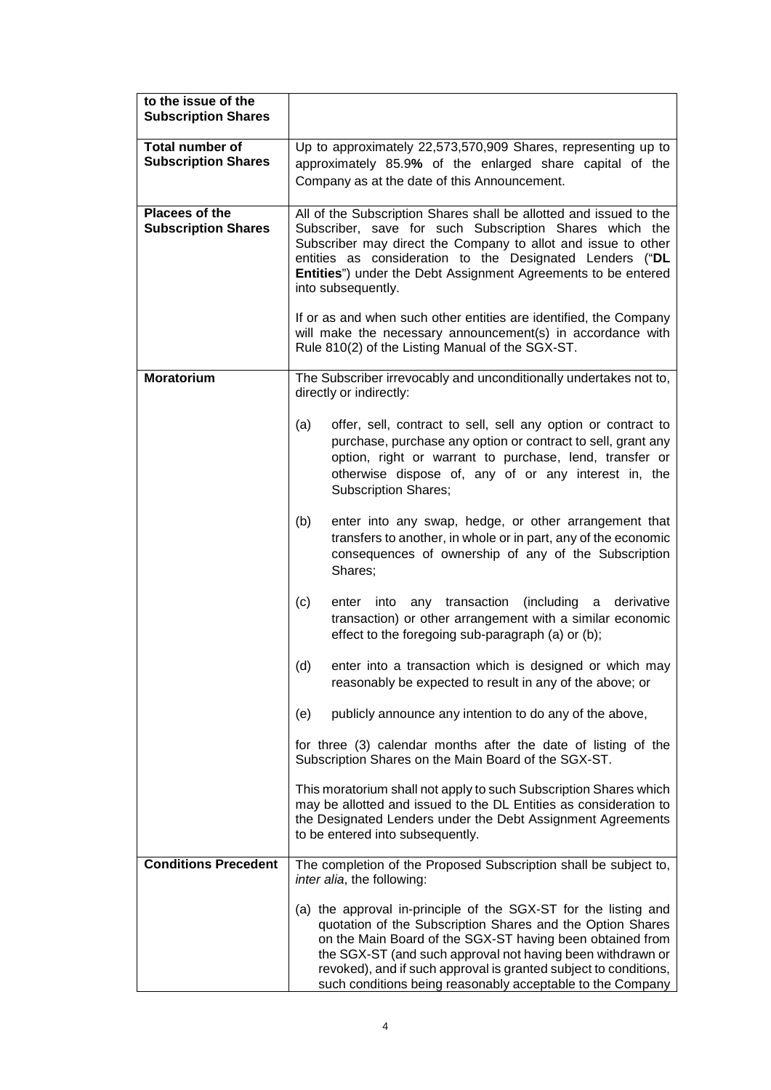| to the issue of the<br><b>Subscription Shares</b>    |                                                                                                                                                                                                                                                                                                                                                                                                                                                                                                                                          |  |
|------------------------------------------------------|------------------------------------------------------------------------------------------------------------------------------------------------------------------------------------------------------------------------------------------------------------------------------------------------------------------------------------------------------------------------------------------------------------------------------------------------------------------------------------------------------------------------------------------|--|
| <b>Total number of</b><br><b>Subscription Shares</b> | Up to approximately 22,573,570,909 Shares, representing up to<br>approximately 85.9% of the enlarged share capital of the<br>Company as at the date of this Announcement.                                                                                                                                                                                                                                                                                                                                                                |  |
| Placees of the<br><b>Subscription Shares</b>         | All of the Subscription Shares shall be allotted and issued to the<br>Subscriber, save for such Subscription Shares which the<br>Subscriber may direct the Company to allot and issue to other<br>entities as consideration to the Designated Lenders ("DL<br>Entities") under the Debt Assignment Agreements to be entered<br>into subsequently.<br>If or as and when such other entities are identified, the Company<br>will make the necessary announcement(s) in accordance with<br>Rule 810(2) of the Listing Manual of the SGX-ST. |  |
| <b>Moratorium</b>                                    | The Subscriber irrevocably and unconditionally undertakes not to,<br>directly or indirectly:                                                                                                                                                                                                                                                                                                                                                                                                                                             |  |
|                                                      | (a)<br>offer, sell, contract to sell, sell any option or contract to<br>purchase, purchase any option or contract to sell, grant any<br>option, right or warrant to purchase, lend, transfer or<br>otherwise dispose of, any of or any interest in, the<br><b>Subscription Shares;</b>                                                                                                                                                                                                                                                   |  |
|                                                      | (b)<br>enter into any swap, hedge, or other arrangement that<br>transfers to another, in whole or in part, any of the economic<br>consequences of ownership of any of the Subscription<br>Shares;                                                                                                                                                                                                                                                                                                                                        |  |
|                                                      | (c)<br>any transaction<br>(including<br>derivative<br>enter<br>into<br>a<br>transaction) or other arrangement with a similar economic<br>effect to the foregoing sub-paragraph (a) or (b);                                                                                                                                                                                                                                                                                                                                               |  |
|                                                      | (d)<br>enter into a transaction which is designed or which may<br>reasonably be expected to result in any of the above; or                                                                                                                                                                                                                                                                                                                                                                                                               |  |
|                                                      | publicly announce any intention to do any of the above,<br>(e)                                                                                                                                                                                                                                                                                                                                                                                                                                                                           |  |
|                                                      | for three (3) calendar months after the date of listing of the<br>Subscription Shares on the Main Board of the SGX-ST.                                                                                                                                                                                                                                                                                                                                                                                                                   |  |
|                                                      | This moratorium shall not apply to such Subscription Shares which<br>may be allotted and issued to the DL Entities as consideration to<br>the Designated Lenders under the Debt Assignment Agreements<br>to be entered into subsequently.                                                                                                                                                                                                                                                                                                |  |
| <b>Conditions Precedent</b>                          | The completion of the Proposed Subscription shall be subject to,<br>inter alia, the following:                                                                                                                                                                                                                                                                                                                                                                                                                                           |  |
|                                                      | (a) the approval in-principle of the SGX-ST for the listing and<br>quotation of the Subscription Shares and the Option Shares<br>on the Main Board of the SGX-ST having been obtained from<br>the SGX-ST (and such approval not having been withdrawn or<br>revoked), and if such approval is granted subject to conditions,<br>such conditions being reasonably acceptable to the Company                                                                                                                                               |  |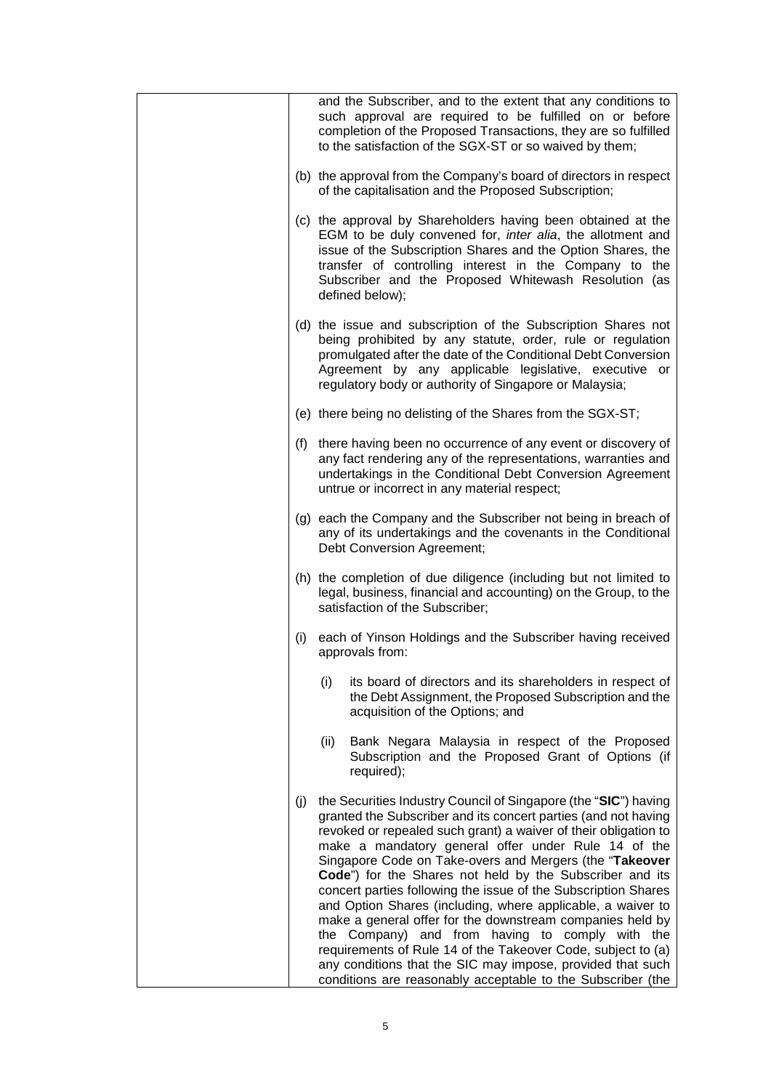|     | and the Subscriber, and to the extent that any conditions to<br>such approval are required to be fulfilled on or before<br>completion of the Proposed Transactions, they are so fulfilled<br>to the satisfaction of the SGX-ST or so waived by them;                                                                                                                                                                                                                                                                                                                                                                                                                                                                                                                                                                             |
|-----|----------------------------------------------------------------------------------------------------------------------------------------------------------------------------------------------------------------------------------------------------------------------------------------------------------------------------------------------------------------------------------------------------------------------------------------------------------------------------------------------------------------------------------------------------------------------------------------------------------------------------------------------------------------------------------------------------------------------------------------------------------------------------------------------------------------------------------|
|     | (b) the approval from the Company's board of directors in respect<br>of the capitalisation and the Proposed Subscription;                                                                                                                                                                                                                                                                                                                                                                                                                                                                                                                                                                                                                                                                                                        |
|     | (c) the approval by Shareholders having been obtained at the<br>EGM to be duly convened for, inter alia, the allotment and<br>issue of the Subscription Shares and the Option Shares, the<br>transfer of controlling interest in the Company to the<br>Subscriber and the Proposed Whitewash Resolution (as<br>defined below);                                                                                                                                                                                                                                                                                                                                                                                                                                                                                                   |
|     | (d) the issue and subscription of the Subscription Shares not<br>being prohibited by any statute, order, rule or regulation<br>promulgated after the date of the Conditional Debt Conversion<br>Agreement by any applicable legislative, executive or<br>regulatory body or authority of Singapore or Malaysia;                                                                                                                                                                                                                                                                                                                                                                                                                                                                                                                  |
|     | (e) there being no delisting of the Shares from the SGX-ST;                                                                                                                                                                                                                                                                                                                                                                                                                                                                                                                                                                                                                                                                                                                                                                      |
|     | (f) there having been no occurrence of any event or discovery of<br>any fact rendering any of the representations, warranties and<br>undertakings in the Conditional Debt Conversion Agreement<br>untrue or incorrect in any material respect;                                                                                                                                                                                                                                                                                                                                                                                                                                                                                                                                                                                   |
|     | (g) each the Company and the Subscriber not being in breach of<br>any of its undertakings and the covenants in the Conditional<br>Debt Conversion Agreement;                                                                                                                                                                                                                                                                                                                                                                                                                                                                                                                                                                                                                                                                     |
|     | (h) the completion of due diligence (including but not limited to<br>legal, business, financial and accounting) on the Group, to the<br>satisfaction of the Subscriber;                                                                                                                                                                                                                                                                                                                                                                                                                                                                                                                                                                                                                                                          |
| (i) | each of Yinson Holdings and the Subscriber having received<br>approvals from:                                                                                                                                                                                                                                                                                                                                                                                                                                                                                                                                                                                                                                                                                                                                                    |
|     | (i)<br>its board of directors and its shareholders in respect of<br>the Debt Assignment, the Proposed Subscription and the<br>acquisition of the Options; and                                                                                                                                                                                                                                                                                                                                                                                                                                                                                                                                                                                                                                                                    |
|     | (ii)<br>Bank Negara Malaysia in respect of the Proposed<br>Subscription and the Proposed Grant of Options (if<br>required);                                                                                                                                                                                                                                                                                                                                                                                                                                                                                                                                                                                                                                                                                                      |
| (j) | the Securities Industry Council of Singapore (the "SIC") having<br>granted the Subscriber and its concert parties (and not having<br>revoked or repealed such grant) a waiver of their obligation to<br>make a mandatory general offer under Rule 14 of the<br>Singapore Code on Take-overs and Mergers (the "Takeover<br>Code") for the Shares not held by the Subscriber and its<br>concert parties following the issue of the Subscription Shares<br>and Option Shares (including, where applicable, a waiver to<br>make a general offer for the downstream companies held by<br>the Company) and from having to comply with the<br>requirements of Rule 14 of the Takeover Code, subject to (a)<br>any conditions that the SIC may impose, provided that such<br>conditions are reasonably acceptable to the Subscriber (the |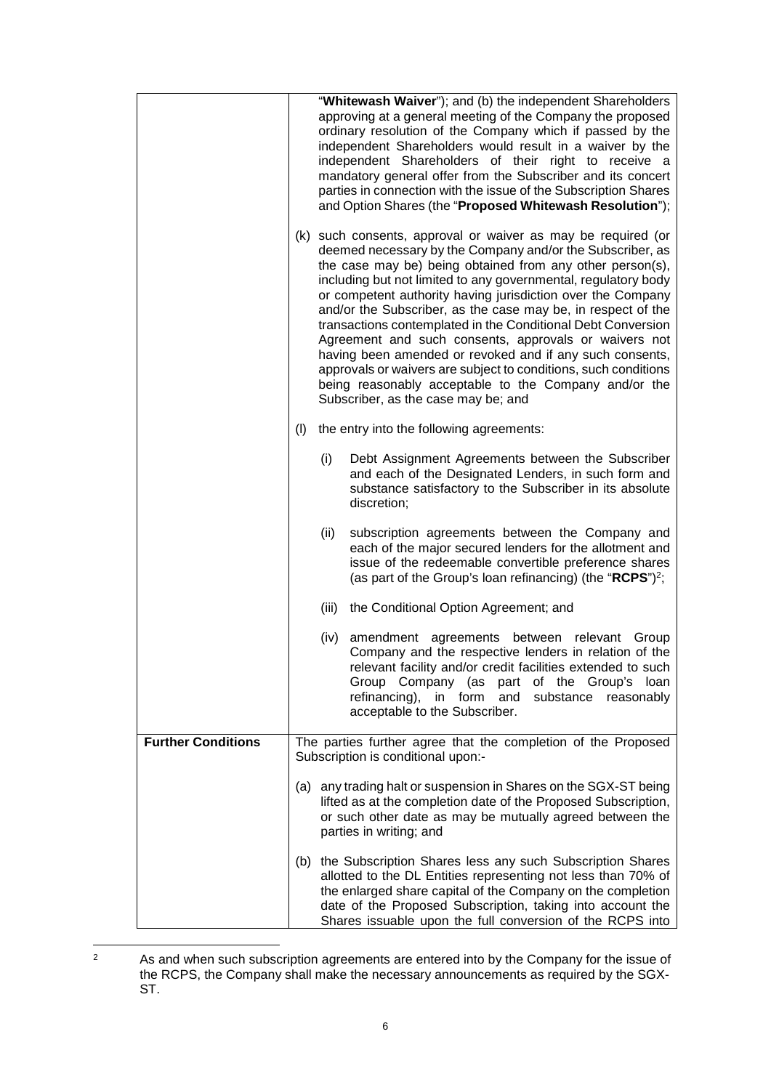|                           | "Whitewash Waiver"); and (b) the independent Shareholders<br>approving at a general meeting of the Company the proposed<br>ordinary resolution of the Company which if passed by the<br>independent Shareholders would result in a waiver by the<br>independent Shareholders of their right to receive a<br>mandatory general offer from the Subscriber and its concert<br>parties in connection with the issue of the Subscription Shares<br>and Option Shares (the "Proposed Whitewash Resolution");<br>(k) such consents, approval or waiver as may be required (or<br>deemed necessary by the Company and/or the Subscriber, as<br>the case may be) being obtained from any other person(s),<br>including but not limited to any governmental, regulatory body<br>or competent authority having jurisdiction over the Company<br>and/or the Subscriber, as the case may be, in respect of the<br>transactions contemplated in the Conditional Debt Conversion<br>Agreement and such consents, approvals or waivers not<br>having been amended or revoked and if any such consents,<br>approvals or waivers are subject to conditions, such conditions<br>being reasonably acceptable to the Company and/or the<br>Subscriber, as the case may be; and |                                                                                                                                                                                                                                                                                                                          |
|---------------------------|-----------------------------------------------------------------------------------------------------------------------------------------------------------------------------------------------------------------------------------------------------------------------------------------------------------------------------------------------------------------------------------------------------------------------------------------------------------------------------------------------------------------------------------------------------------------------------------------------------------------------------------------------------------------------------------------------------------------------------------------------------------------------------------------------------------------------------------------------------------------------------------------------------------------------------------------------------------------------------------------------------------------------------------------------------------------------------------------------------------------------------------------------------------------------------------------------------------------------------------------------------------|--------------------------------------------------------------------------------------------------------------------------------------------------------------------------------------------------------------------------------------------------------------------------------------------------------------------------|
|                           | the entry into the following agreements:<br>(1)                                                                                                                                                                                                                                                                                                                                                                                                                                                                                                                                                                                                                                                                                                                                                                                                                                                                                                                                                                                                                                                                                                                                                                                                           |                                                                                                                                                                                                                                                                                                                          |
|                           |                                                                                                                                                                                                                                                                                                                                                                                                                                                                                                                                                                                                                                                                                                                                                                                                                                                                                                                                                                                                                                                                                                                                                                                                                                                           | (i)<br>Debt Assignment Agreements between the Subscriber<br>and each of the Designated Lenders, in such form and<br>substance satisfactory to the Subscriber in its absolute<br>discretion;                                                                                                                              |
|                           |                                                                                                                                                                                                                                                                                                                                                                                                                                                                                                                                                                                                                                                                                                                                                                                                                                                                                                                                                                                                                                                                                                                                                                                                                                                           | (ii)<br>subscription agreements between the Company and<br>each of the major secured lenders for the allotment and<br>issue of the redeemable convertible preference shares<br>(as part of the Group's loan refinancing) (the "RCPS") <sup>2</sup> ;                                                                     |
|                           |                                                                                                                                                                                                                                                                                                                                                                                                                                                                                                                                                                                                                                                                                                                                                                                                                                                                                                                                                                                                                                                                                                                                                                                                                                                           | (iii)<br>the Conditional Option Agreement; and                                                                                                                                                                                                                                                                           |
|                           |                                                                                                                                                                                                                                                                                                                                                                                                                                                                                                                                                                                                                                                                                                                                                                                                                                                                                                                                                                                                                                                                                                                                                                                                                                                           | (iv)<br>amendment agreements between relevant Group<br>Company and the respective lenders in relation of the<br>relevant facility and/or credit facilities extended to such<br>Group Company (as<br>part of the Group's loan<br>refinancing), in form<br>and substance<br>reasonably<br>acceptable to the Subscriber.    |
| <b>Further Conditions</b> | The parties further agree that the completion of the Proposed<br>Subscription is conditional upon:-                                                                                                                                                                                                                                                                                                                                                                                                                                                                                                                                                                                                                                                                                                                                                                                                                                                                                                                                                                                                                                                                                                                                                       |                                                                                                                                                                                                                                                                                                                          |
|                           |                                                                                                                                                                                                                                                                                                                                                                                                                                                                                                                                                                                                                                                                                                                                                                                                                                                                                                                                                                                                                                                                                                                                                                                                                                                           | (a) any trading halt or suspension in Shares on the SGX-ST being<br>lifted as at the completion date of the Proposed Subscription,<br>or such other date as may be mutually agreed between the<br>parties in writing; and                                                                                                |
|                           |                                                                                                                                                                                                                                                                                                                                                                                                                                                                                                                                                                                                                                                                                                                                                                                                                                                                                                                                                                                                                                                                                                                                                                                                                                                           | (b) the Subscription Shares less any such Subscription Shares<br>allotted to the DL Entities representing not less than 70% of<br>the enlarged share capital of the Company on the completion<br>date of the Proposed Subscription, taking into account the<br>Shares issuable upon the full conversion of the RCPS into |

<sup>&</sup>lt;sup>2</sup> As and when such subscription agreements are entered into by the Company for the issue of the RCPS, the Company shall make the necessary announcements as required by the SGX-ST.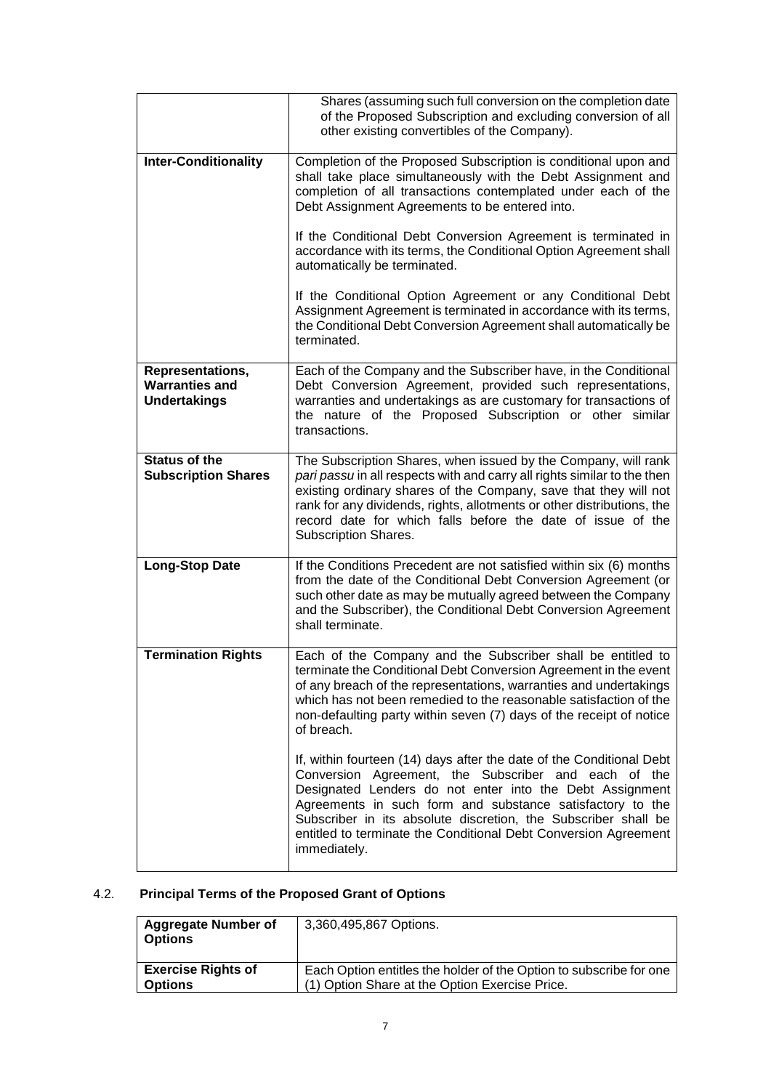|                                                                  | Shares (assuming such full conversion on the completion date<br>of the Proposed Subscription and excluding conversion of all<br>other existing convertibles of the Company).                                                                                                                                                                                                                               |
|------------------------------------------------------------------|------------------------------------------------------------------------------------------------------------------------------------------------------------------------------------------------------------------------------------------------------------------------------------------------------------------------------------------------------------------------------------------------------------|
| <b>Inter-Conditionality</b>                                      | Completion of the Proposed Subscription is conditional upon and<br>shall take place simultaneously with the Debt Assignment and<br>completion of all transactions contemplated under each of the<br>Debt Assignment Agreements to be entered into.                                                                                                                                                         |
|                                                                  | If the Conditional Debt Conversion Agreement is terminated in<br>accordance with its terms, the Conditional Option Agreement shall<br>automatically be terminated.                                                                                                                                                                                                                                         |
|                                                                  | If the Conditional Option Agreement or any Conditional Debt<br>Assignment Agreement is terminated in accordance with its terms,<br>the Conditional Debt Conversion Agreement shall automatically be<br>terminated.                                                                                                                                                                                         |
| Representations,<br><b>Warranties and</b><br><b>Undertakings</b> | Each of the Company and the Subscriber have, in the Conditional<br>Debt Conversion Agreement, provided such representations,<br>warranties and undertakings as are customary for transactions of<br>the nature of the Proposed Subscription or other similar<br>transactions.                                                                                                                              |
| <b>Status of the</b><br><b>Subscription Shares</b>               | The Subscription Shares, when issued by the Company, will rank<br>pari passu in all respects with and carry all rights similar to the then<br>existing ordinary shares of the Company, save that they will not<br>rank for any dividends, rights, allotments or other distributions, the<br>record date for which falls before the date of issue of the<br>Subscription Shares.                            |
| <b>Long-Stop Date</b>                                            | If the Conditions Precedent are not satisfied within six (6) months<br>from the date of the Conditional Debt Conversion Agreement (or<br>such other date as may be mutually agreed between the Company<br>and the Subscriber), the Conditional Debt Conversion Agreement<br>shall terminate.                                                                                                               |
| <b>Termination Rights</b>                                        | Each of the Company and the Subscriber shall be entitled to<br>terminate the Conditional Debt Conversion Agreement in the event<br>of any breach of the representations, warranties and undertakings<br>which has not been remedied to the reasonable satisfaction of the<br>non-defaulting party within seven (7) days of the receipt of notice<br>of breach.                                             |
|                                                                  | If, within fourteen (14) days after the date of the Conditional Debt<br>Conversion Agreement, the Subscriber and each of the<br>Designated Lenders do not enter into the Debt Assignment<br>Agreements in such form and substance satisfactory to the<br>Subscriber in its absolute discretion, the Subscriber shall be<br>entitled to terminate the Conditional Debt Conversion Agreement<br>immediately. |

# 4.2. **Principal Terms of the Proposed Grant of Options**

| <b>Aggregate Number of</b><br><b>Options</b> | 3,360,495,867 Options.                                             |
|----------------------------------------------|--------------------------------------------------------------------|
| <b>Exercise Rights of</b>                    | Each Option entitles the holder of the Option to subscribe for one |
| <b>Options</b>                               | (1) Option Share at the Option Exercise Price.                     |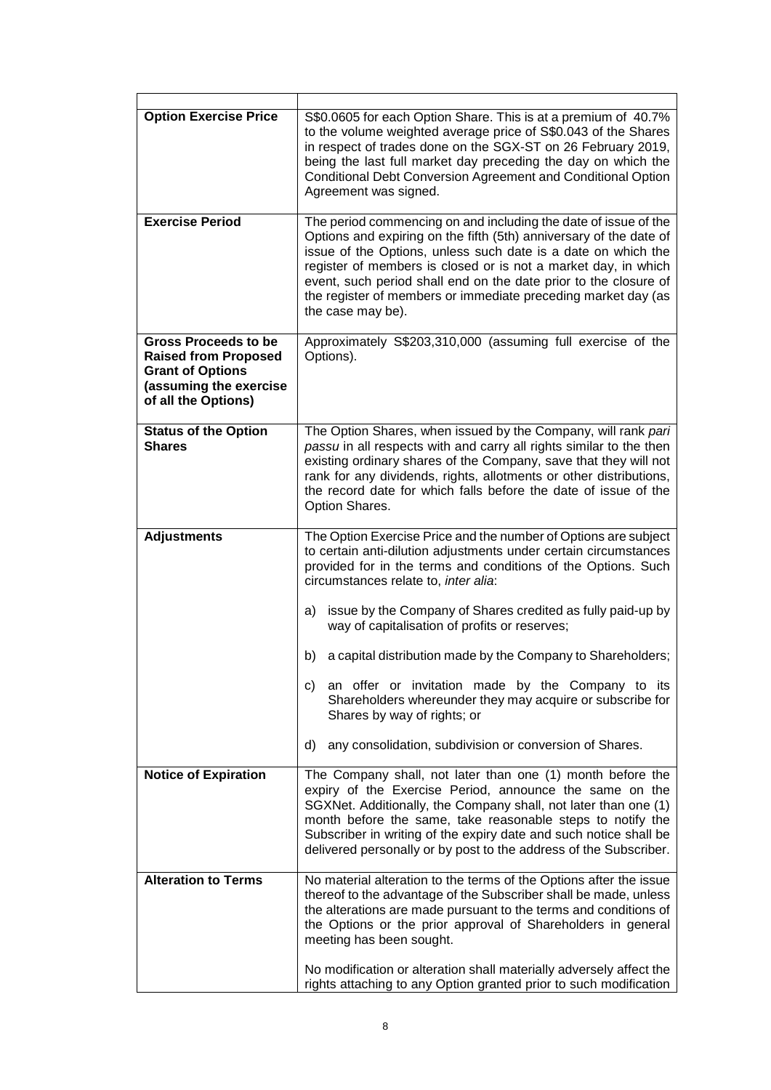| <b>Option Exercise Price</b>                                                                                                           | S\$0.0605 for each Option Share. This is at a premium of 40.7%<br>to the volume weighted average price of S\$0.043 of the Shares<br>in respect of trades done on the SGX-ST on 26 February 2019,<br>being the last full market day preceding the day on which the<br>Conditional Debt Conversion Agreement and Conditional Option<br>Agreement was signed.                                                                                                                                                                                                                                     |
|----------------------------------------------------------------------------------------------------------------------------------------|------------------------------------------------------------------------------------------------------------------------------------------------------------------------------------------------------------------------------------------------------------------------------------------------------------------------------------------------------------------------------------------------------------------------------------------------------------------------------------------------------------------------------------------------------------------------------------------------|
| <b>Exercise Period</b>                                                                                                                 | The period commencing on and including the date of issue of the<br>Options and expiring on the fifth (5th) anniversary of the date of<br>issue of the Options, unless such date is a date on which the<br>register of members is closed or is not a market day, in which<br>event, such period shall end on the date prior to the closure of<br>the register of members or immediate preceding market day (as<br>the case may be).                                                                                                                                                             |
| <b>Gross Proceeds to be</b><br><b>Raised from Proposed</b><br><b>Grant of Options</b><br>(assuming the exercise<br>of all the Options) | Approximately S\$203,310,000 (assuming full exercise of the<br>Options).                                                                                                                                                                                                                                                                                                                                                                                                                                                                                                                       |
| <b>Status of the Option</b><br><b>Shares</b>                                                                                           | The Option Shares, when issued by the Company, will rank pari<br>passu in all respects with and carry all rights similar to the then<br>existing ordinary shares of the Company, save that they will not<br>rank for any dividends, rights, allotments or other distributions,<br>the record date for which falls before the date of issue of the<br>Option Shares.                                                                                                                                                                                                                            |
| <b>Adjustments</b>                                                                                                                     | The Option Exercise Price and the number of Options are subject<br>to certain anti-dilution adjustments under certain circumstances<br>provided for in the terms and conditions of the Options. Such<br>circumstances relate to, inter alia:<br>issue by the Company of Shares credited as fully paid-up by<br>a)<br>way of capitalisation of profits or reserves;<br>b)<br>a capital distribution made by the Company to Shareholders;<br>an offer or invitation made by the Company to its<br>c)<br>Shareholders whereunder they may acquire or subscribe for<br>Shares by way of rights; or |
|                                                                                                                                        | d)<br>any consolidation, subdivision or conversion of Shares.                                                                                                                                                                                                                                                                                                                                                                                                                                                                                                                                  |
| <b>Notice of Expiration</b>                                                                                                            | The Company shall, not later than one (1) month before the<br>expiry of the Exercise Period, announce the same on the<br>SGXNet. Additionally, the Company shall, not later than one (1)<br>month before the same, take reasonable steps to notify the<br>Subscriber in writing of the expiry date and such notice shall be<br>delivered personally or by post to the address of the Subscriber.                                                                                                                                                                                               |
| <b>Alteration to Terms</b>                                                                                                             | No material alteration to the terms of the Options after the issue<br>thereof to the advantage of the Subscriber shall be made, unless<br>the alterations are made pursuant to the terms and conditions of<br>the Options or the prior approval of Shareholders in general<br>meeting has been sought.                                                                                                                                                                                                                                                                                         |
|                                                                                                                                        | No modification or alteration shall materially adversely affect the<br>rights attaching to any Option granted prior to such modification                                                                                                                                                                                                                                                                                                                                                                                                                                                       |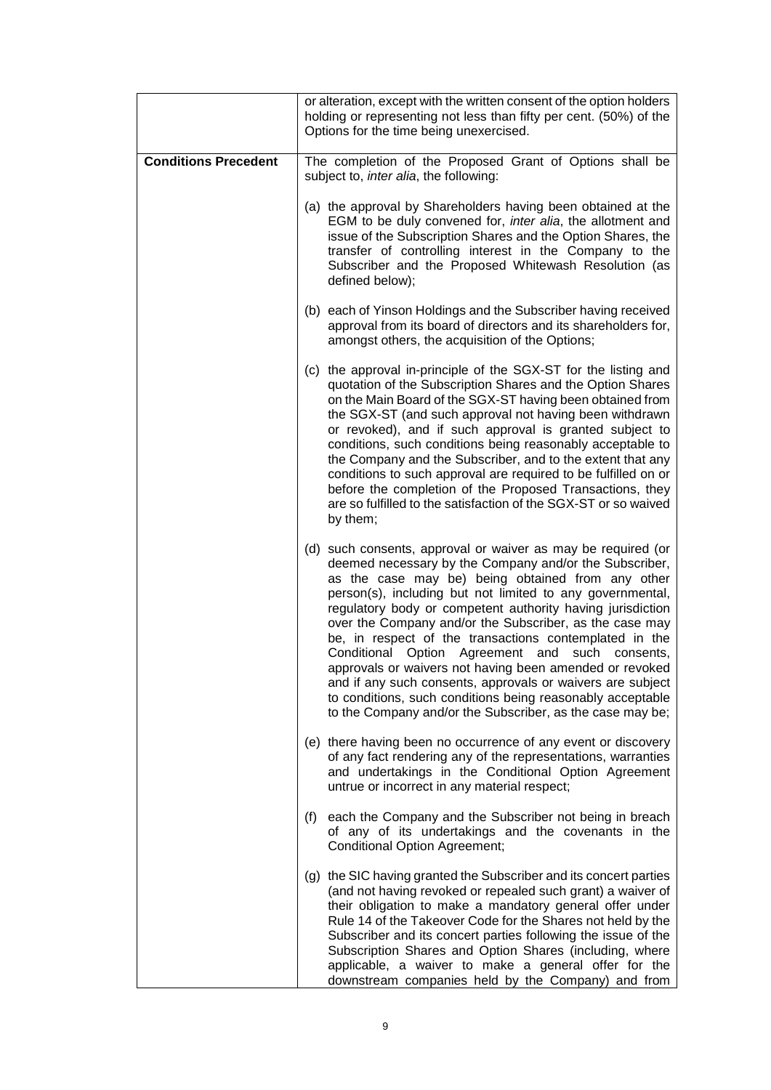|                             | or alteration, except with the written consent of the option holders<br>holding or representing not less than fifty per cent. (50%) of the<br>Options for the time being unexercised.                                                                                                                                                                                                                                                                                                                                                                                                                                                                                                                                                    |  |
|-----------------------------|------------------------------------------------------------------------------------------------------------------------------------------------------------------------------------------------------------------------------------------------------------------------------------------------------------------------------------------------------------------------------------------------------------------------------------------------------------------------------------------------------------------------------------------------------------------------------------------------------------------------------------------------------------------------------------------------------------------------------------------|--|
| <b>Conditions Precedent</b> | The completion of the Proposed Grant of Options shall be<br>subject to, inter alia, the following:                                                                                                                                                                                                                                                                                                                                                                                                                                                                                                                                                                                                                                       |  |
|                             | (a) the approval by Shareholders having been obtained at the<br>EGM to be duly convened for, inter alia, the allotment and<br>issue of the Subscription Shares and the Option Shares, the<br>transfer of controlling interest in the Company to the<br>Subscriber and the Proposed Whitewash Resolution (as<br>defined below);                                                                                                                                                                                                                                                                                                                                                                                                           |  |
|                             | (b) each of Yinson Holdings and the Subscriber having received<br>approval from its board of directors and its shareholders for,<br>amongst others, the acquisition of the Options;                                                                                                                                                                                                                                                                                                                                                                                                                                                                                                                                                      |  |
|                             | (c) the approval in-principle of the SGX-ST for the listing and<br>quotation of the Subscription Shares and the Option Shares<br>on the Main Board of the SGX-ST having been obtained from<br>the SGX-ST (and such approval not having been withdrawn<br>or revoked), and if such approval is granted subject to<br>conditions, such conditions being reasonably acceptable to<br>the Company and the Subscriber, and to the extent that any<br>conditions to such approval are required to be fulfilled on or<br>before the completion of the Proposed Transactions, they<br>are so fulfilled to the satisfaction of the SGX-ST or so waived<br>by them;                                                                                |  |
|                             | (d) such consents, approval or waiver as may be required (or<br>deemed necessary by the Company and/or the Subscriber,<br>as the case may be) being obtained from any other<br>person(s), including but not limited to any governmental,<br>regulatory body or competent authority having jurisdiction<br>over the Company and/or the Subscriber, as the case may<br>be, in respect of the transactions contemplated in the<br>Conditional Option Agreement and<br>such<br>consents,<br>approvals or waivers not having been amended or revoked<br>and if any such consents, approvals or waivers are subject<br>to conditions, such conditions being reasonably acceptable<br>to the Company and/or the Subscriber, as the case may be; |  |
|                             | (e) there having been no occurrence of any event or discovery<br>of any fact rendering any of the representations, warranties<br>and undertakings in the Conditional Option Agreement<br>untrue or incorrect in any material respect;                                                                                                                                                                                                                                                                                                                                                                                                                                                                                                    |  |
|                             | each the Company and the Subscriber not being in breach<br>(f)<br>of any of its undertakings and the covenants in the<br><b>Conditional Option Agreement;</b>                                                                                                                                                                                                                                                                                                                                                                                                                                                                                                                                                                            |  |
|                             | (g) the SIC having granted the Subscriber and its concert parties<br>(and not having revoked or repealed such grant) a waiver of<br>their obligation to make a mandatory general offer under<br>Rule 14 of the Takeover Code for the Shares not held by the<br>Subscriber and its concert parties following the issue of the<br>Subscription Shares and Option Shares (including, where<br>applicable, a waiver to make a general offer for the<br>downstream companies held by the Company) and from                                                                                                                                                                                                                                    |  |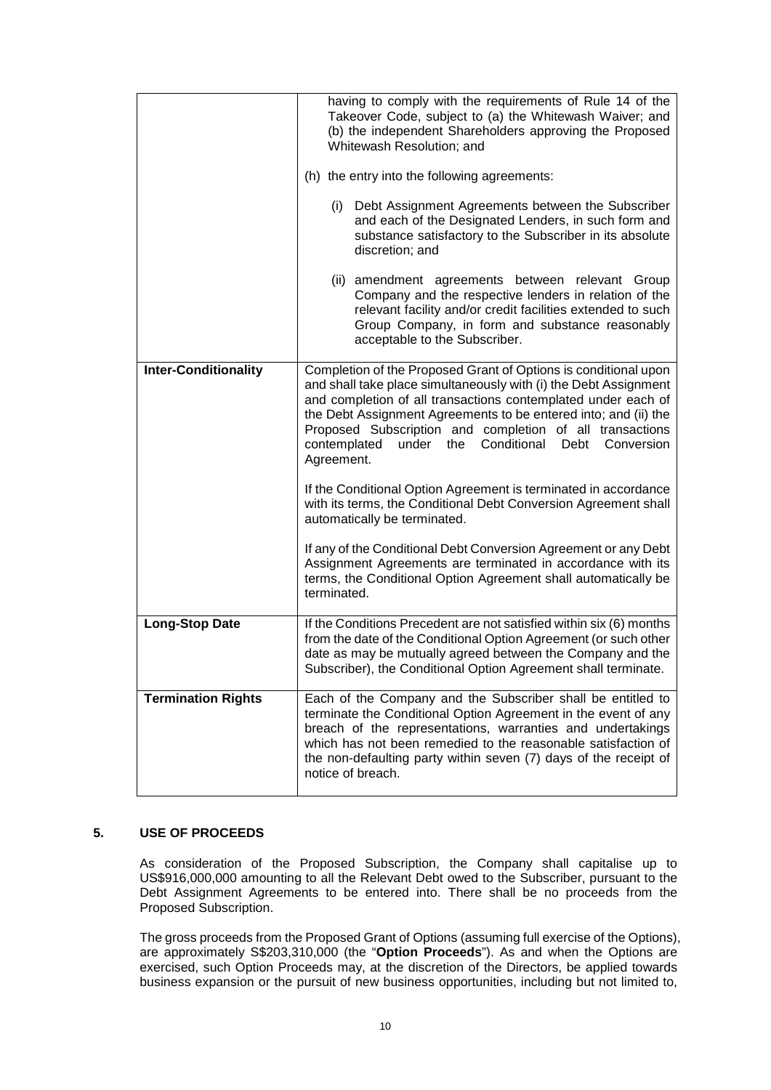|                             | having to comply with the requirements of Rule 14 of the<br>Takeover Code, subject to (a) the Whitewash Waiver; and<br>(b) the independent Shareholders approving the Proposed<br>Whitewash Resolution; and<br>(h) the entry into the following agreements:<br>Debt Assignment Agreements between the Subscriber<br>(i)<br>and each of the Designated Lenders, in such form and<br>substance satisfactory to the Subscriber in its absolute |  |
|-----------------------------|---------------------------------------------------------------------------------------------------------------------------------------------------------------------------------------------------------------------------------------------------------------------------------------------------------------------------------------------------------------------------------------------------------------------------------------------|--|
|                             | discretion; and<br>(ii) amendment agreements between relevant Group<br>Company and the respective lenders in relation of the<br>relevant facility and/or credit facilities extended to such<br>Group Company, in form and substance reasonably                                                                                                                                                                                              |  |
|                             | acceptable to the Subscriber.                                                                                                                                                                                                                                                                                                                                                                                                               |  |
| <b>Inter-Conditionality</b> | Completion of the Proposed Grant of Options is conditional upon<br>and shall take place simultaneously with (i) the Debt Assignment<br>and completion of all transactions contemplated under each of<br>the Debt Assignment Agreements to be entered into; and (ii) the<br>Proposed Subscription and completion of all transactions<br>contemplated<br>under the<br>Conditional Debt Conversion<br>Agreement.                               |  |
|                             | If the Conditional Option Agreement is terminated in accordance<br>with its terms, the Conditional Debt Conversion Agreement shall<br>automatically be terminated.                                                                                                                                                                                                                                                                          |  |
|                             | If any of the Conditional Debt Conversion Agreement or any Debt<br>Assignment Agreements are terminated in accordance with its<br>terms, the Conditional Option Agreement shall automatically be<br>terminated.                                                                                                                                                                                                                             |  |
| <b>Long-Stop Date</b>       | If the Conditions Precedent are not satisfied within six (6) months<br>from the date of the Conditional Option Agreement (or such other<br>date as may be mutually agreed between the Company and the<br>Subscriber), the Conditional Option Agreement shall terminate.                                                                                                                                                                     |  |
| <b>Termination Rights</b>   | Each of the Company and the Subscriber shall be entitled to<br>terminate the Conditional Option Agreement in the event of any<br>breach of the representations, warranties and undertakings<br>which has not been remedied to the reasonable satisfaction of<br>the non-defaulting party within seven (7) days of the receipt of<br>notice of breach.                                                                                       |  |

### **5. USE OF PROCEEDS**

As consideration of the Proposed Subscription, the Company shall capitalise up to US\$916,000,000 amounting to all the Relevant Debt owed to the Subscriber, pursuant to the Debt Assignment Agreements to be entered into. There shall be no proceeds from the Proposed Subscription.

The gross proceeds from the Proposed Grant of Options (assuming full exercise of the Options), are approximately S\$203,310,000 (the "**Option Proceeds**"). As and when the Options are exercised, such Option Proceeds may, at the discretion of the Directors, be applied towards business expansion or the pursuit of new business opportunities, including but not limited to,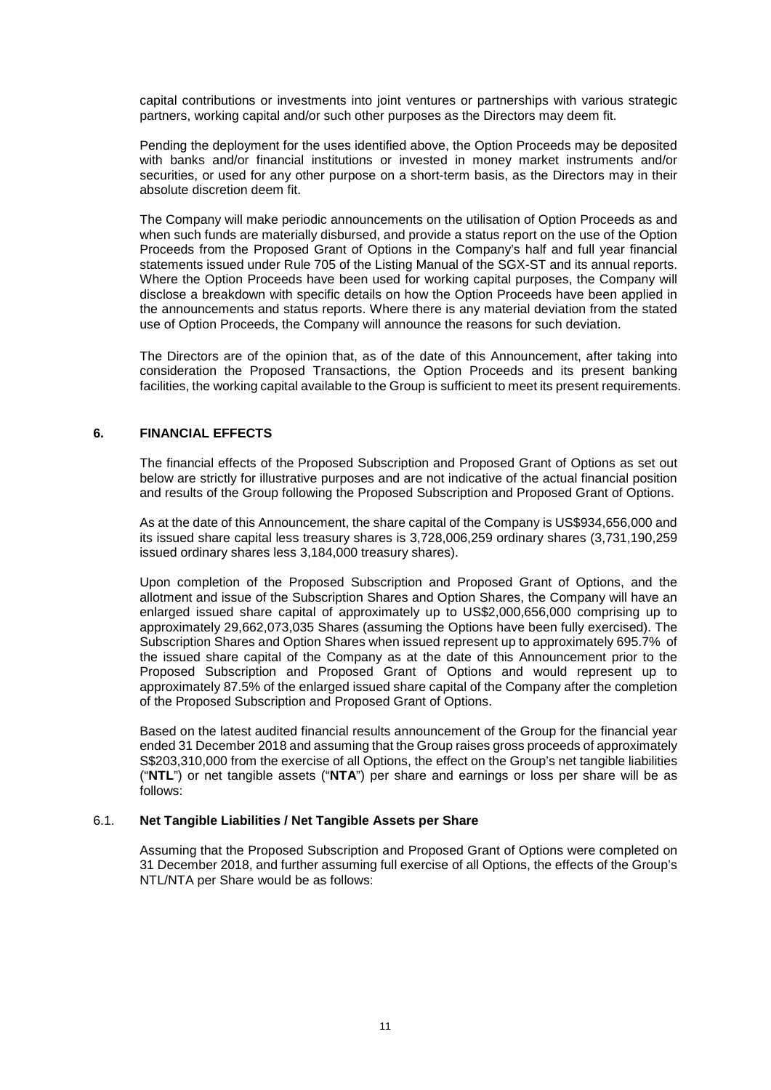capital contributions or investments into joint ventures or partnerships with various strategic partners, working capital and/or such other purposes as the Directors may deem fit.

Pending the deployment for the uses identified above, the Option Proceeds may be deposited with banks and/or financial institutions or invested in money market instruments and/or securities, or used for any other purpose on a short-term basis, as the Directors may in their absolute discretion deem fit.

The Company will make periodic announcements on the utilisation of Option Proceeds as and when such funds are materially disbursed, and provide a status report on the use of the Option Proceeds from the Proposed Grant of Options in the Company's half and full year financial statements issued under Rule 705 of the Listing Manual of the SGX-ST and its annual reports. Where the Option Proceeds have been used for working capital purposes, the Company will disclose a breakdown with specific details on how the Option Proceeds have been applied in the announcements and status reports. Where there is any material deviation from the stated use of Option Proceeds, the Company will announce the reasons for such deviation.

The Directors are of the opinion that, as of the date of this Announcement, after taking into consideration the Proposed Transactions, the Option Proceeds and its present banking facilities, the working capital available to the Group is sufficient to meet its present requirements.

# **6. FINANCIAL EFFECTS**

The financial effects of the Proposed Subscription and Proposed Grant of Options as set out below are strictly for illustrative purposes and are not indicative of the actual financial position and results of the Group following the Proposed Subscription and Proposed Grant of Options.

As at the date of this Announcement, the share capital of the Company is US\$934,656,000 and its issued share capital less treasury shares is 3,728,006,259 ordinary shares (3,731,190,259 issued ordinary shares less 3,184,000 treasury shares).

Upon completion of the Proposed Subscription and Proposed Grant of Options, and the allotment and issue of the Subscription Shares and Option Shares, the Company will have an enlarged issued share capital of approximately up to US\$2,000,656,000 comprising up to approximately 29,662,073,035 Shares (assuming the Options have been fully exercised). The Subscription Shares and Option Shares when issued represent up to approximately 695.7% of the issued share capital of the Company as at the date of this Announcement prior to the Proposed Subscription and Proposed Grant of Options and would represent up to approximately 87.5% of the enlarged issued share capital of the Company after the completion of the Proposed Subscription and Proposed Grant of Options.

Based on the latest audited financial results announcement of the Group for the financial year ended 31 December 2018 and assuming that the Group raises gross proceeds of approximately S\$203,310,000 from the exercise of all Options, the effect on the Group's net tangible liabilities ("**NTL**") or net tangible assets ("**NTA**") per share and earnings or loss per share will be as follows:

#### 6.1. **Net Tangible Liabilities / Net Tangible Assets per Share**

Assuming that the Proposed Subscription and Proposed Grant of Options were completed on 31 December 2018, and further assuming full exercise of all Options, the effects of the Group's NTL/NTA per Share would be as follows: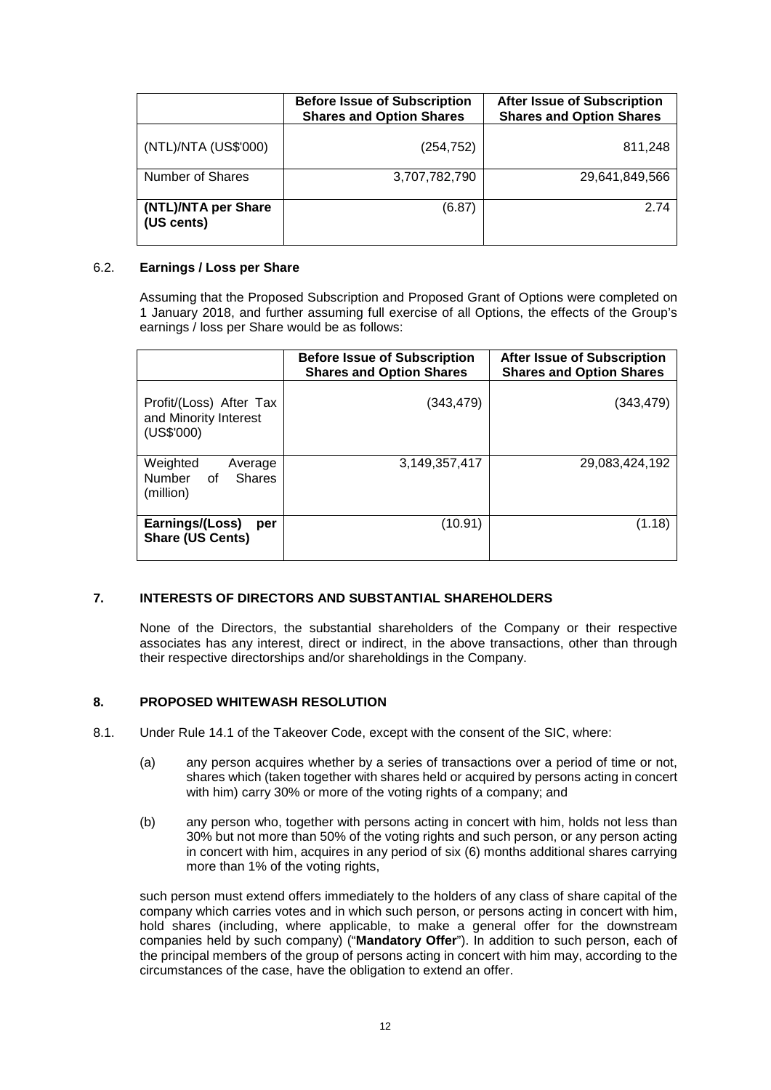|                                   | <b>Before Issue of Subscription</b><br><b>Shares and Option Shares</b> | <b>After Issue of Subscription</b><br><b>Shares and Option Shares</b> |
|-----------------------------------|------------------------------------------------------------------------|-----------------------------------------------------------------------|
| (NTL)/NTA (US\$'000)              | (254, 752)                                                             | 811,248                                                               |
| <b>Number of Shares</b>           | 3,707,782,790                                                          | 29,641,849,566                                                        |
| (NTL)/NTA per Share<br>(US cents) | (6.87)                                                                 | 2.74                                                                  |

## 6.2. **Earnings / Loss per Share**

Assuming that the Proposed Subscription and Proposed Grant of Options were completed on 1 January 2018, and further assuming full exercise of all Options, the effects of the Group's earnings / loss per Share would be as follows:

|                                                                | <b>Before Issue of Subscription</b><br><b>Shares and Option Shares</b> | <b>After Issue of Subscription</b><br><b>Shares and Option Shares</b> |
|----------------------------------------------------------------|------------------------------------------------------------------------|-----------------------------------------------------------------------|
| Profit/(Loss) After Tax<br>and Minority Interest<br>(US\$'000) | (343, 479)                                                             | (343,479)                                                             |
| Weighted<br>Average<br>Number of<br><b>Shares</b><br>(million) | 3,149,357,417                                                          | 29,083,424,192                                                        |
| Earnings/(Loss)<br>per<br><b>Share (US Cents)</b>              | (10.91)                                                                | (1.18)                                                                |

# **7. INTERESTS OF DIRECTORS AND SUBSTANTIAL SHAREHOLDERS**

None of the Directors, the substantial shareholders of the Company or their respective associates has any interest, direct or indirect, in the above transactions, other than through their respective directorships and/or shareholdings in the Company.

# **8. PROPOSED WHITEWASH RESOLUTION**

- 8.1. Under Rule 14.1 of the Takeover Code, except with the consent of the SIC, where:
	- (a) any person acquires whether by a series of transactions over a period of time or not, shares which (taken together with shares held or acquired by persons acting in concert with him) carry 30% or more of the voting rights of a company; and
	- (b) any person who, together with persons acting in concert with him, holds not less than 30% but not more than 50% of the voting rights and such person, or any person acting in concert with him, acquires in any period of six (6) months additional shares carrying more than 1% of the voting rights,

such person must extend offers immediately to the holders of any class of share capital of the company which carries votes and in which such person, or persons acting in concert with him, hold shares (including, where applicable, to make a general offer for the downstream companies held by such company) ("**Mandatory Offer**"). In addition to such person, each of the principal members of the group of persons acting in concert with him may, according to the circumstances of the case, have the obligation to extend an offer.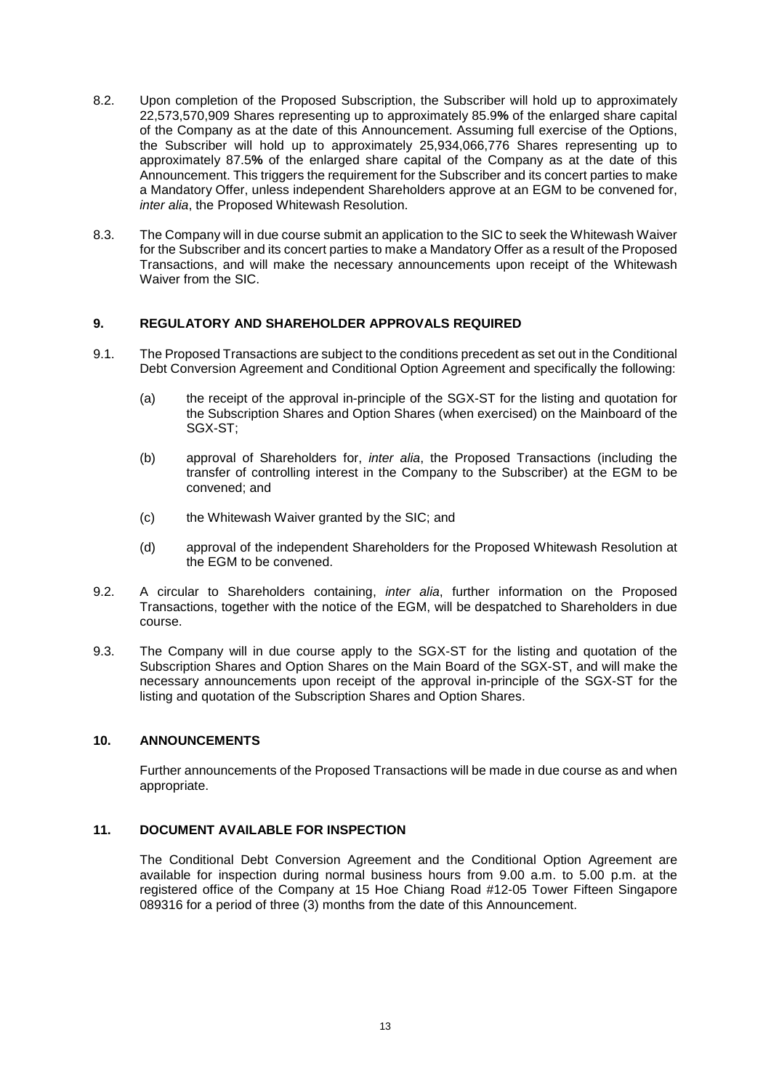- 8.2. Upon completion of the Proposed Subscription, the Subscriber will hold up to approximately 22,573,570,909 Shares representing up to approximately 85.9**%** of the enlarged share capital of the Company as at the date of this Announcement. Assuming full exercise of the Options, the Subscriber will hold up to approximately 25,934,066,776 Shares representing up to approximately 87.5**%** of the enlarged share capital of the Company as at the date of this Announcement. This triggers the requirement for the Subscriber and its concert parties to make a Mandatory Offer, unless independent Shareholders approve at an EGM to be convened for, *inter alia*, the Proposed Whitewash Resolution.
- 8.3. The Company will in due course submit an application to the SIC to seek the Whitewash Waiver for the Subscriber and its concert parties to make a Mandatory Offer as a result of the Proposed Transactions, and will make the necessary announcements upon receipt of the Whitewash Waiver from the SIC.

## **9. REGULATORY AND SHAREHOLDER APPROVALS REQUIRED**

- 9.1. The Proposed Transactions are subject to the conditions precedent as set out in the Conditional Debt Conversion Agreement and Conditional Option Agreement and specifically the following:
	- (a) the receipt of the approval in-principle of the SGX-ST for the listing and quotation for the Subscription Shares and Option Shares (when exercised) on the Mainboard of the SGX-ST;
	- (b) approval of Shareholders for, *inter alia*, the Proposed Transactions (including the transfer of controlling interest in the Company to the Subscriber) at the EGM to be convened; and
	- (c) the Whitewash Waiver granted by the SIC; and
	- (d) approval of the independent Shareholders for the Proposed Whitewash Resolution at the EGM to be convened.
- 9.2. A circular to Shareholders containing, *inter alia*, further information on the Proposed Transactions, together with the notice of the EGM, will be despatched to Shareholders in due course.
- 9.3. The Company will in due course apply to the SGX-ST for the listing and quotation of the Subscription Shares and Option Shares on the Main Board of the SGX-ST, and will make the necessary announcements upon receipt of the approval in-principle of the SGX-ST for the listing and quotation of the Subscription Shares and Option Shares.

#### **10. ANNOUNCEMENTS**

Further announcements of the Proposed Transactions will be made in due course as and when appropriate.

# **11. DOCUMENT AVAILABLE FOR INSPECTION**

The Conditional Debt Conversion Agreement and the Conditional Option Agreement are available for inspection during normal business hours from 9.00 a.m. to 5.00 p.m. at the registered office of the Company at 15 Hoe Chiang Road #12-05 Tower Fifteen Singapore 089316 for a period of three (3) months from the date of this Announcement.